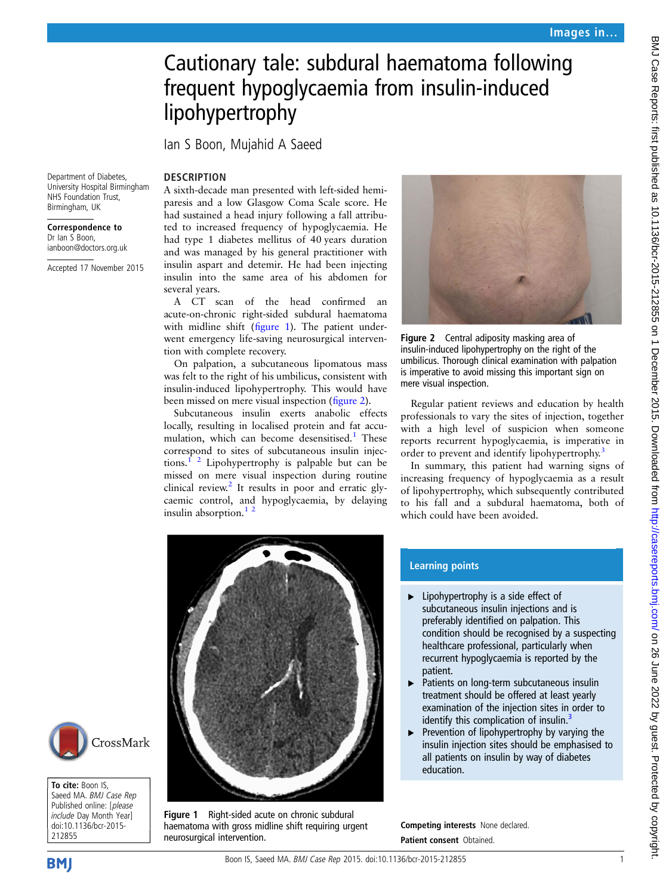# Cautionary tale: subdural haematoma following frequent hypoglycaemia from insulin-induced lipohypertrophy

Ian S Boon, Mujahid A Saeed

### **DESCRIPTION**

#### Department of Diabetes, University Hospital Birmingham NHS Foundation Trust, Birmingham, UK

Correspondence to Dr Ian S Boon, ianboon@doctors.org.uk

Accepted 17 November 2015

A sixth-decade man presented with left-sided hemiparesis and a low Glasgow Coma Scale score. He had sustained a head injury following a fall attributed to increased frequency of hypoglycaemia. He had type 1 diabetes mellitus of 40 years duration and was managed by his general practitioner with insulin aspart and detemir. He had been injecting insulin into the same area of his abdomen for several years.

A CT scan of the head confirmed an acute-on-chronic right-sided subdural haematoma with midline shift (figure 1). The patient underwent emergency life-saving neurosurgical intervention with complete recovery.

On palpation, a subcutaneous lipomatous mass was felt to the right of his umbilicus, consistent with insulin-induced lipohypertrophy. This would have been missed on mere visual inspection (figure 2).

Subcutaneous insulin exerts anabolic effects locally, resulting in localised protein and fat accumulation, which can become desensitised.<sup>1</sup> These correspond to sites of subcutaneous insulin injections.<sup>1</sup> <sup>2</sup> Lipohypertrophy is palpable but can be missed on mere visual inspection during routine clinical review.<sup>[2](#page-1-0)</sup> It results in poor and erratic glycaemic control, and hypoglycaemia, by delaying insulin absorption.<sup>1</sup><sup>2</sup>



Figure 2 Central adiposity masking area of insulin-induced lipohypertrophy on the right of the umbilicus. Thorough clinical examination with palpation is imperative to avoid missing this important sign on mere visual inspection.

Regular patient reviews and education by health professionals to vary the sites of injection, together with a high level of suspicion when someone reports recurrent hypoglycaemia, is imperative in order to prevent and identify lipohypertrophy.<sup>[3](#page-1-0)</sup>

In summary, this patient had warning signs of increasing frequency of hypoglycaemia as a result of lipohypertrophy, which subsequently contributed to his fall and a subdural haematoma, both of which could have been avoided.



Figure 1 Right-sided acute on chronic subdural haematoma with gross midline shift requiring urgent neurosurgical intervention.

Learning points

- ▸ Lipohypertrophy is a side effect of subcutaneous insulin injections and is preferably identified on palpation. This condition should be recognised by a suspecting healthcare professional, particularly when recurrent hypoglycaemia is reported by the patient.
- ▶ Patients on long-term subcutaneous insulin treatment should be offered at least yearly examination of the injection sites in order to identify this complication of insulin.<sup>[3](#page-1-0)</sup>
- $\blacktriangleright$  Prevention of lipohypertrophy by varying the insulin injection sites should be emphasised to all patients on insulin by way of diabetes education.

Competing interests None declared. Patient consent Obtained.



To cite: Boon IS. Saeed MA. BMJ Case Rep Published online: [please include Day Month Year] doi:10.1136/bcr-2015- 212855